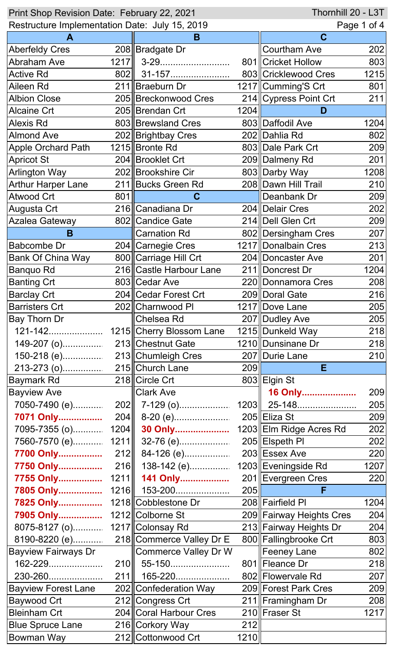| Thornhill 20 - L3T<br>Print Shop Revision Date: February 22, 2021 |      |                                     |      |                          |      |
|-------------------------------------------------------------------|------|-------------------------------------|------|--------------------------|------|
| Restructure Implementation Date: July 15, 2019                    |      |                                     |      | Page 1 of 4              |      |
|                                                                   |      | B                                   |      | $\mathbf C$              |      |
| <b>Aberfeldy Cres</b>                                             |      | 208 Bradgate Dr                     |      | <b>Courtham Ave</b>      | 202  |
| <b>Abraham Ave</b>                                                | 1217 | 3-29                                |      | 801 Cricket Hollow       | 803  |
| <b>Active Rd</b>                                                  | 802  | 31-157                              |      | 803 Cricklewood Cres     | 1215 |
| Aileen Rd                                                         |      | 211 Braeburn Dr                     |      | 1217 Cumming'S Crt       | 801  |
| <b>Albion Close</b>                                               |      | 205 Breckonwood Cres                |      | 214 Cypress Point Crt    | 211  |
| <b>Alcaine Crt</b>                                                |      | 205 Brendan Crt                     | 1204 | D                        |      |
| <b>Alexis Rd</b>                                                  |      | 803 Brewsland Cres                  |      | 803 Daffodil Ave         | 1204 |
| <b>Almond Ave</b>                                                 |      | 202 Brightbay Cres                  |      | 202 Dahlia Rd            | 802  |
| <b>Apple Orchard Path</b>                                         |      | 1215 Bronte Rd                      |      | 803 Dale Park Crt        | 209  |
| <b>Apricot St</b>                                                 |      | 204 Brooklet Crt                    |      | 209 Dalmeny Rd           | 201  |
| <b>Arlington Way</b>                                              |      | 202 Brookshire Cir                  |      | 803 Darby Way            | 1208 |
| <b>Arthur Harper Lane</b>                                         |      | 211 Bucks Green Rd                  |      | 208 Dawn Hill Trail      | 210  |
| <b>Atwood Crt</b>                                                 | 801  | C                                   |      | Deanbank Dr              | 209  |
| Augusta Crt                                                       |      | 216 Canadiana Dr                    |      | 204   Delair Cres        | 202  |
| <b>Azalea Gateway</b>                                             |      | 802 Candice Gate                    |      | 214 Dell Glen Crt        | 209  |
| B                                                                 |      | <b>Carnation Rd</b>                 |      | 802   Dersingham Cres    | 207  |
| <b>Babcombe Dr</b>                                                |      | 204 Carnegie Cres                   |      | 1217 Donalbain Cres      | 213  |
| <b>Bank Of China Way</b>                                          |      | 800 Carriage Hill Crt               |      | 204 Doncaster Ave        | 201  |
| <b>Banquo Rd</b>                                                  |      | 216 Castle Harbour Lane             |      | 211  Doncrest Dr         | 1204 |
| <b>Banting Crt</b>                                                |      | 803 Cedar Ave                       |      | 220 Donnamora Cres       | 208  |
| <b>Barclay Crt</b>                                                |      | 204 Cedar Forest Crt                |      | 209 Doral Gate           | 216  |
| <b>Barristers Crt</b>                                             |      | 202 Charnwood PI                    |      | 1217 Dove Lane           | 205  |
| <b>Bay Thorn Dr</b>                                               |      | Chelsea Rd                          |      | 207 Dudley Ave           | 205  |
| 121-142                                                           |      | 1215 Cherry Blossom Lane            |      | 1215 Dunkeld Way         | 218  |
|                                                                   |      |                                     |      | 1210 Dunsinane Dr        | 218  |
|                                                                   |      |                                     |      | 207   Durie Lane         | 210  |
|                                                                   |      |                                     | 209  | E.                       |      |
| Baymark Rd                                                        |      | 218 Circle Crt                      |      | 803 Elgin St             |      |
| <b>Bayview Ave</b>                                                |      | <b>Clark Ave</b>                    |      | 16 Only                  | 209  |
|                                                                   |      | 7050-7490 (e)     202     7-129 (o) |      | $1203$   25-148          | 205  |
| 7071 Only                                                         |      |                                     |      | 205 Eliza St             | 209  |
| 7095-7355 (o)                                                     |      | 1204 30 Only                        |      | 1203 Elm Ridge Acres Rd  | 202  |
| 7560-7570 (e)                                                     | 1211 | 32-76 (e)                           |      | 205 Elspeth PI           | 202  |
| 7700 Only                                                         |      | $212$   84-126 (e)                  |      | 203 Essex Ave            | 220  |
|                                                                   |      | 138-142 (e)                         |      | 1203 Eveningside Rd      | 1207 |
| 7755 Only 1211                                                    |      | <b>141 Only</b>                     |      | 201 Evergreen Cres       | 220  |
|                                                                   |      | 7805 Only 1216 153-200              | 205  | F                        |      |
| 7825 Only 1218 Cobblestone Dr                                     |      |                                     |      | 208 Fairfield PI         | 1204 |
| 7905 Only 1212 Colborne St                                        |      |                                     |      | 209 Fairway Heights Cres | 204  |
| 8075-8127 (o) 1217 Colonsay Rd                                    |      |                                     |      | 213 Fairway Heights Dr   | 204  |
|                                                                   |      | 218 Commerce Valley Dr E            |      | 800 Fallingbrooke Crt    | 803  |
| <b>Bayview Fairways Dr</b>                                        |      | <b>Commerce Valley Dr W</b>         |      | Feeney Lane              | 802  |
| 162-229                                                           |      | 210 55-150                          |      | 801 Fleance Dr           | 218  |
| 230-260                                                           | 211  | 165-220                             |      | 802 Flowervale Rd        | 207  |
| Bayview Forest Lane                                               |      | 202∥Confederation Way               |      | 209 Forest Park Cres     | 209  |
| <b>Baywood Crt</b>                                                |      | 212 Congress Crt                    |      | 211 Framingham Dr        | 208  |
| <b>Bleinham Crt</b>                                               |      | 204 Coral Harbour Cres              |      | 210 Fraser St            | 1217 |
| <b>Blue Spruce Lane</b>                                           |      | 216 Corkory Way                     | 212  |                          |      |
| <b>Bowman Way</b>                                                 |      | 212 Cottonwood Crt                  | 1210 |                          |      |
|                                                                   |      |                                     |      |                          |      |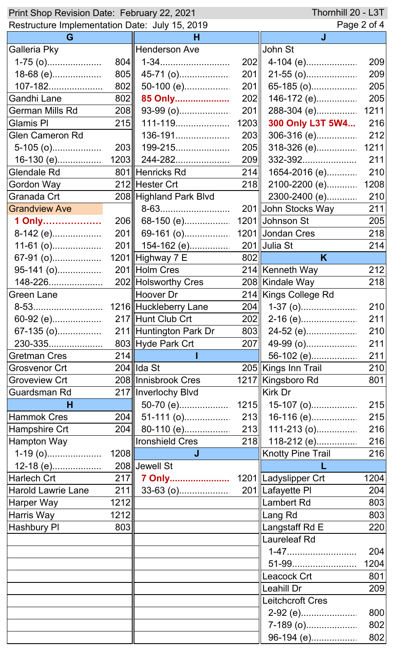| Thornhill 20 - L3T<br>Print Shop Revision Date: February 22, 2021 |            |                        |      |                          |            |  |
|-------------------------------------------------------------------|------------|------------------------|------|--------------------------|------------|--|
| Restructure Implementation Date: July 15, 2019                    |            |                        |      | Page 2 of 4              |            |  |
| G                                                                 |            | н                      |      | J                        |            |  |
| Galleria Pky                                                      |            | Henderson Ave          |      | John St                  |            |  |
|                                                                   | 804        | 1-34                   | 202  |                          | 209        |  |
| 18-68 (e)                                                         | 805        | 45-71 (o)              | 201  |                          | 209        |  |
| 107-182                                                           | 802        | 50-100 (e)             | 201  | 65-185 (o)               | 205        |  |
| Gandhi Lane                                                       | 802        | 85 Only                | 202  | 146-172 (e)              | 205        |  |
| <b>German Mills Rd</b>                                            | 208        | 93-99 (o)              | 201  | 288-304 (e)              | 1211       |  |
| <b>Glamis PI</b>                                                  | 215        | 111-119                | 1203 | 300 Only L3T 5W4         | 216        |  |
| <b>Glen Cameron Rd</b>                                            |            | 136-191                | 203  | 306-316 (e)              | 212        |  |
| $5-105$ (o)                                                       |            | 203   199-215          | 205  | 318-326 (e)              | 1211       |  |
|                                                                   |            |                        | 209  | 332-392                  | 211        |  |
| <b>Glendale Rd</b>                                                |            | 801∥Henricks Rd        | 214  | 1654-2016 (e)            | 210        |  |
| Gordon Way                                                        |            | 212 Hester Crt         | 218  | 2100-2200 (e)            | 1208       |  |
| Granada Crt                                                       |            | 208 Highland Park Blvd |      | 2300-2400 (e)            | 210        |  |
| <b>Grandview Ave</b>                                              |            | 8-63                   |      | 201∥John Stocks Way      | 211        |  |
| 1 Only                                                            | <b>206</b> | 68-150 (e)             |      | 1201 Johnson St          | 205        |  |
| 8-142 (e)                                                         | 201        | 69-161 (o)             |      | 1201 Jondan Cres         | 218        |  |
| 11-61 (o)                                                         |            | 201    154-162 (e)     |      | $201$ Uulia St           | 214        |  |
|                                                                   |            | 1201 Highway 7 E       | 802  | K                        |            |  |
|                                                                   |            |                        |      | 214 Kenneth Way          | 212        |  |
| 148-226                                                           |            | 202 Holsworthy Cres    |      | 208 Kindale Way          | 218        |  |
| Green Lane                                                        |            | Hoover Dr              |      | 214 Kings College Rd     |            |  |
| 8-53                                                              |            | 1216 Huckleberry Lane  | 204  |                          | 210        |  |
| 60-92 (e)                                                         |            | 217 Hunt Club Crt      | 202  |                          | 211        |  |
|                                                                   |            |                        | 803  |                          | 210        |  |
| 230-335                                                           |            | 803 Hyde Park Crt      |      | 24-52 (e)<br>49-99 (o)   |            |  |
| <b>Gretman Cres</b>                                               | 214        |                        | 207  |                          | 211        |  |
|                                                                   |            | $204$ Ida St           |      | 56-102 (e)               | 211<br>210 |  |
| <b>Grosvenor Crt</b>                                              |            |                        |      | 205 Kings Inn Trail      |            |  |
| <b>Groveview Crt</b>                                              |            | 208 Innisbrook Cres    |      | 1217   Kingsboro Rd      | 801        |  |
| <b>Guardsman Rd</b>                                               |            | 217 Inverlochy Blvd    |      | Kirk Dr                  |            |  |
| н                                                                 |            |                        |      |                          | 215        |  |
| Hammok Cres                                                       | 204        | 51-111 (o)             |      | $213$ 16-116 (e)         | 215        |  |
| Hampshire Crt                                                     | 204        | 80-110 (e)             |      | $213$ 111-213 (o)        | 216        |  |
| Hampton Way                                                       |            | Ironshield Cres        |      | 218 118-212 (e)          | 216        |  |
|                                                                   | 1208       | J                      |      | <b>Knotty Pine Trail</b> | 216        |  |
| 12-18 (e)                                                         |            | 208 Jewell St          |      |                          |            |  |
| Harlech Crt                                                       | 217        |                        |      |                          | 1204       |  |
| Harold Lawrie Lane                                                | 211        |                        |      | 201 Lafayette PI         | 204        |  |
| Harper Way                                                        | 1212       |                        |      | <b>Lambert Rd</b>        | 803        |  |
| Harris Way                                                        | 1212       |                        |      | Lang Rd                  | 803        |  |
| <b>Hashbury PI</b>                                                | 803        |                        |      | Langstaff Rd E           | 220        |  |
|                                                                   |            |                        |      | <b>Laureleaf Rd</b>      |            |  |
|                                                                   |            |                        |      |                          | 204        |  |
|                                                                   |            |                        |      | 51-99                    | 1204       |  |
|                                                                   |            |                        |      | Leacock Crt              | 801        |  |
|                                                                   |            |                        |      | ∥Leahill Dr              | 209        |  |
|                                                                   |            |                        |      | Leitchcroft Cres         |            |  |
|                                                                   |            |                        |      | 2-92 (e)                 | 800        |  |
|                                                                   |            |                        |      | 7-189 (o)                | 802        |  |
|                                                                   |            |                        |      | 96-194 (e)               | 802        |  |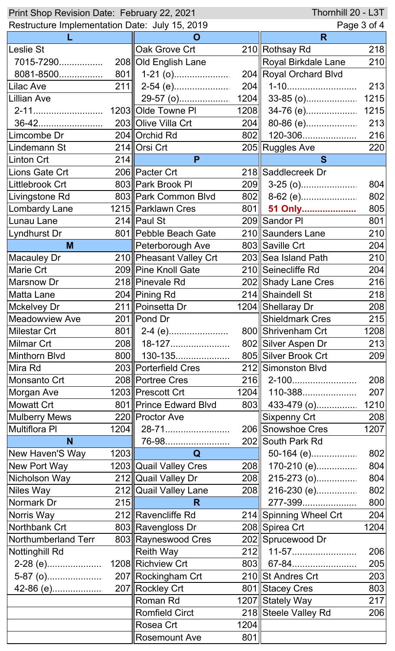| Thornhill 20 - L3T<br>Print Shop Revision Date: February 22, 2021 |      |                          |      |                            |      |
|-------------------------------------------------------------------|------|--------------------------|------|----------------------------|------|
| Restructure Implementation Date: July 15, 2019                    |      |                          |      | Page 3 of 4                |      |
|                                                                   |      | O                        |      | R                          |      |
| Leslie St                                                         |      | Oak Grove Crt            |      | 210 Rothsay Rd             | 218  |
| 7015-7290                                                         |      | 208 Old English Lane     |      | <b>Royal Birkdale Lane</b> | 210  |
| 8081-8500                                                         |      | $801$    1-21 (o)        |      | 204 Royal Orchard Blvd     |      |
| Lilac Ave                                                         | 211  |                          | 204  | 1-10                       | 213  |
| Lillian Ave                                                       |      | 29-57 (o)                | 1204 | $33-85$ (o)                | 1215 |
| 2-11                                                              |      | 1203 Olde Towne PI       | 1208 | 34-76 (e)                  | 1215 |
| 36-42                                                             |      | 203 Olive Villa Crt      | 204  | 80-86 (e)                  | 213  |
| Limcombe Dr                                                       |      | 204 Orchid Rd            | 802  | 120-306                    | 216  |
| Lindemann St                                                      |      | 214 Orsi Crt             |      | 205 Ruggles Ave            | 220  |
| Linton Crt                                                        | 214  | P                        |      | S                          |      |
| Lions Gate Crt                                                    |      | 206 Pacter Crt           |      | 218 Saddlecreek Dr         |      |
| Littlebrook Crt                                                   |      | 803 Park Brook PI        | 209  |                            | 804  |
| Livingstone Rd                                                    |      | 803 Park Common Blvd     | 802  | 8-62 (e)                   | 802  |
| Lombardy Lane                                                     |      | 1215   Parklawn Cres     | 801  | 51 Only                    | 805  |
| Lunau Lane                                                        |      | $214$   Paul St          |      | 209 Sandor PI              | 801  |
| Lyndhurst Dr                                                      |      | 801 Pebble Beach Gate    |      | 210 Saunders Lane          | 210  |
| M                                                                 |      | Peterborough Ave         |      | 803 Saville Crt            | 204  |
| Macauley Dr                                                       |      | 210 Pheasant Valley Crt  |      | 203 Sea Island Path        | 210  |
| <b>Marie Crt</b>                                                  |      | 209 Pine Knoll Gate      |      | 210 Seinecliffe Rd         | 204  |
| Marsnow Dr                                                        |      | 218   Pinevale Rd        |      | 202 Shady Lane Cres        | 216  |
| Matta Lane                                                        |      | 204 Pining Rd            |      | 214 Shaindell St           | 218  |
| Mckelvey Dr                                                       |      | 211   Poinsetta Dr       |      | 1204 Shellaray Dr          | 208  |
| <b>Meadowview Ave</b>                                             |      | 201 Pond Dr              |      | <b>Shieldmark Cres</b>     | 215  |
| <b>Milestar Crt</b>                                               | 801  | 2-4 (e)                  |      | 800 Shrivenham Crt         | 1208 |
| Milmar Crt                                                        | 208  | 18-127                   |      | 802 Silver Aspen Dr        | 213  |
| Minthorn Blvd                                                     | 800  | 130-135                  |      | 805 Silver Brook Crt       | 209  |
| Mira Rd                                                           |      | 203 Porterfield Cres     |      | 212 Simonston Blvd         |      |
| Monsanto Crt                                                      |      | 208 Portree Cres         |      | 216   2-100                | 208  |
| Morgan Ave                                                        |      | 1203 Prescott Crt        | 1204 | 110-388                    | 207  |
| Mowatt Crt                                                        |      | 801   Prince Edward Blvd | 803  | 433-479 (o)                | 1210 |
| <b>Mulberry Mews</b>                                              |      | 220 Proctor Ave          |      | <b>Sixpenny Crt</b>        | 208  |
| Multiflora PI                                                     | 1204 | 28-71                    |      | 206 Snowshoe Cres          | 1207 |
| N                                                                 |      | 76-98                    |      | 202 South Park Rd          |      |
| New Haven'S Way                                                   | 1203 | Q                        |      |                            | 802  |
| New Port Way                                                      |      | 1203 Quail Valley Cres   | 208  | 170-210 (e)                | 804  |
| Nicholson Way                                                     |      | 212 Quail Valley Dr      | 208  | 215-273 (o)                | 804  |
| Niles Way                                                         |      | 212 Quail Valley Lane    | 208  | 216-230 (e)                | 802  |
| Normark Dr                                                        | 215  | R                        |      | 277-399                    | 800  |
| Norris Way                                                        |      | 212 Ravencliffe Rd       |      | 214 Spinning Wheel Crt     | 204  |
| Northbank Crt                                                     |      | 803 Ravengloss Dr        |      | 208 Spirea Crt             | 1204 |
| Northumberland Terr                                               |      | 803 Rayneswood Cres      |      | 202 Sprucewood Dr          |      |
| Nottinghill Rd                                                    |      | <b>Reith Way</b>         | 212  | 11-57                      | 206  |
|                                                                   |      | 1208 Richview Crt        | 803  | 67-84                      | 205  |
|                                                                   |      | 207 Rockingham Crt       |      | 210 St Andres Crt          | 203  |
|                                                                   |      | 207 Rockley Crt          |      | 801 Stacey Cres            | 803  |
|                                                                   |      | Roman Rd                 |      | 1207 Stately Way           | 217  |
|                                                                   |      | <b>Romfield Circt</b>    |      | 218 Steele Valley Rd       | 206  |
|                                                                   |      | Rosea Crt                | 1204 |                            |      |
|                                                                   |      | <b>Rosemount Ave</b>     | 801  |                            |      |